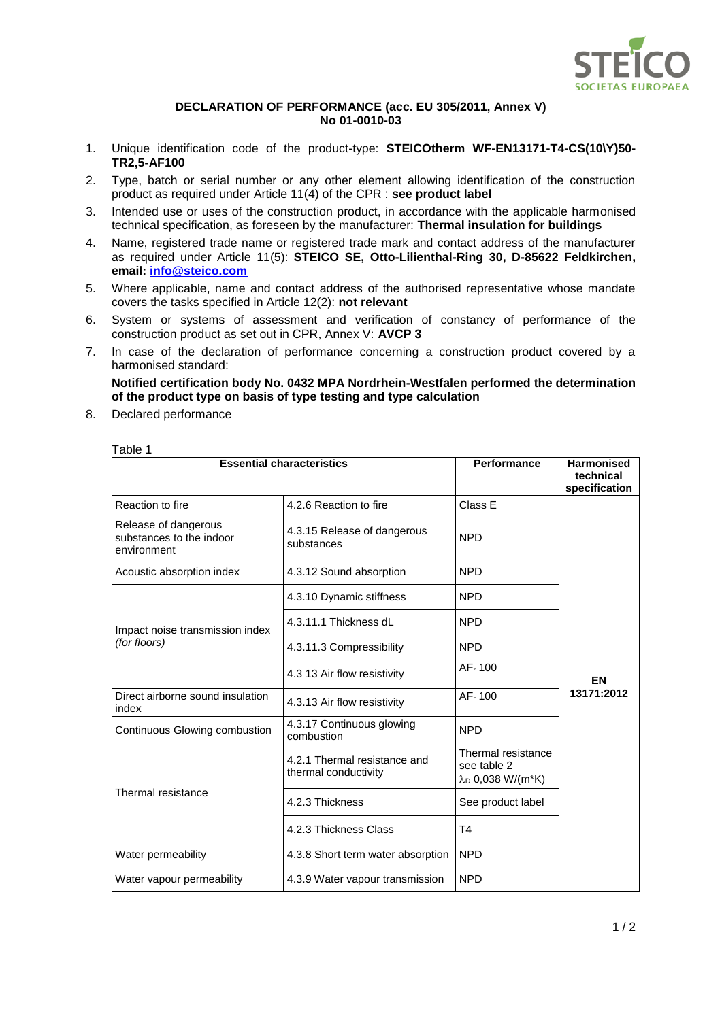

## **DECLARATION OF PERFORMANCE (acc. EU 305/2011, Annex V) No 01-0010-03**

- 1. Unique identification code of the product-type: **STEICOtherm WF-EN13171-T4-CS(10\Y)50- TR2,5-AF100**
- 2. Type, batch or serial number or any other element allowing identification of the construction product as required under Article 11(4) of the CPR : **see product label**
- 3. Intended use or uses of the construction product, in accordance with the applicable harmonised technical specification, as foreseen by the manufacturer: **Thermal insulation for buildings**
- 4. Name, registered trade name or registered trade mark and contact address of the manufacturer as required under Article 11(5): **STEICO SE, Otto-Lilienthal-Ring 30, D-85622 Feldkirchen, email: [info@steico.com](mailto:info@steico.com)**
- 5. Where applicable, name and contact address of the authorised representative whose mandate covers the tasks specified in Article 12(2): **not relevant**
- 6. System or systems of assessment and verification of constancy of performance of the construction product as set out in CPR, Annex V: **AVCP 3**
- 7. In case of the declaration of performance concerning a construction product covered by a harmonised standard:

**Notified certification body No. 0432 MPA Nordrhein-Westfalen performed the determination of the product type on basis of type testing and type calculation**

8. Declared performance

Table 1

| <b>Essential characteristics</b>                                | Performance                                          | <b>Harmonised</b><br>technical<br>specification                   |            |  |
|-----------------------------------------------------------------|------------------------------------------------------|-------------------------------------------------------------------|------------|--|
| Reaction to fire                                                | 4.2.6 Reaction to fire                               | Class E                                                           |            |  |
| Release of dangerous<br>substances to the indoor<br>environment | 4.3.15 Release of dangerous<br>substances            | <b>NPD</b>                                                        |            |  |
| Acoustic absorption index                                       | 4.3.12 Sound absorption                              | <b>NPD</b>                                                        |            |  |
| Impact noise transmission index<br>(for floors)                 | 4.3.10 Dynamic stiffness                             | <b>NPD</b>                                                        |            |  |
|                                                                 | 4.3.11.1 Thickness dL                                | <b>NPD</b>                                                        |            |  |
|                                                                 | 4.3.11.3 Compressibility                             | <b>NPD</b>                                                        |            |  |
|                                                                 | 4.3 13 Air flow resistivity                          | AF <sub>r</sub> 100                                               | EN         |  |
| Direct airborne sound insulation<br>index                       | 4.3.13 Air flow resistivity                          | AF <sub>r</sub> 100                                               | 13171:2012 |  |
| Continuous Glowing combustion                                   | 4.3.17 Continuous glowing<br>combustion              | <b>NPD</b>                                                        |            |  |
|                                                                 | 4.2.1 Thermal resistance and<br>thermal conductivity | Thermal resistance<br>see table 2<br>λ <sub>D</sub> 0,038 W/(m*K) |            |  |
| Thermal resistance                                              | 4.2.3 Thickness                                      | See product label                                                 |            |  |
|                                                                 | 4.2.3 Thickness Class                                | T <sub>4</sub>                                                    |            |  |
| Water permeability                                              | 4.3.8 Short term water absorption                    | <b>NPD</b>                                                        |            |  |
| Water vapour permeability                                       | 4.3.9 Water vapour transmission                      | <b>NPD</b>                                                        |            |  |